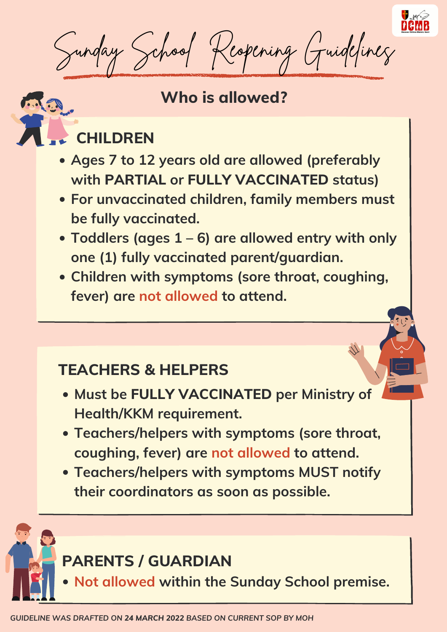

Sunday School Reopening Guidelines

# **Who is allowed?**

# **CHILDREN**

#### **TEACHERS & HELPERS**

# **PARENTS / GUARDIAN**

- **Ages 7 to 12 years old are allowed (preferably with PARTIAL or FULLY VACCINATED status)**
- **For unvaccinated children, family members must be fully vaccinated.**
- **Toddlers (ages 1 – 6) are allowed entry with only one (1) fully vaccinated parent/guardian.**
- **Children with symptoms (sore throat, coughing, fever) are not allowed to attend.**

- **Must be FULLY VACCINATED per Ministry of Health/KKM requirement.**
- **Teachers/helpers with symptoms (sore throat, coughing, fever) are not allowed to attend.**
- **Teachers/helpers with symptoms MUST notify their coordinators as soon as possible.**

**Not allowed within the Sunday School premise.**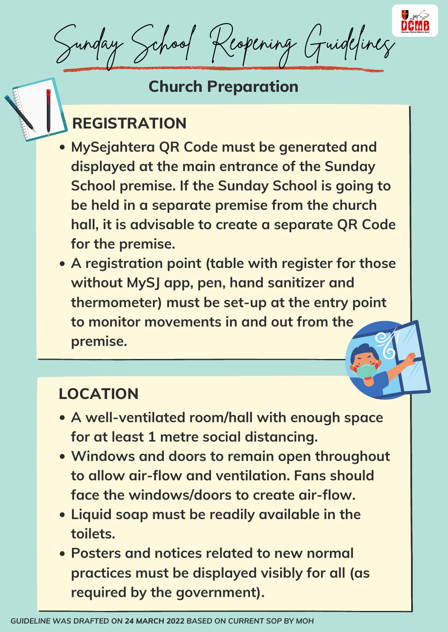

# **Church Preparation**

# **REGISTRATION**

# **LOCATION**

- **MySejahtera QR Code must be generated and displayed at the main entrance of the Sunday School premise. If the Sunday School is going to be held in a separate premise from the church hall, it is advisable to create a separate QR Code for the premise.**
- **A registration point (table with register for those without MySJ app, pen, hand sanitizer and thermometer) must be set-up at the entry point to monitor movements in and out from the**

- **A well-ventilated room/hall with enough space for at least 1 metre social distancing.**
- **Windows and doors to remain open throughout to allow air-flow and ventilation. Fans should face the windows/doors to create air-flow.**
- **Liquid soap must be readily available in the toilets.**
- **Posters and notices related to new normal practices must be displayed visibly for all (as required by the government).**

Sunday School Reopening Guidelines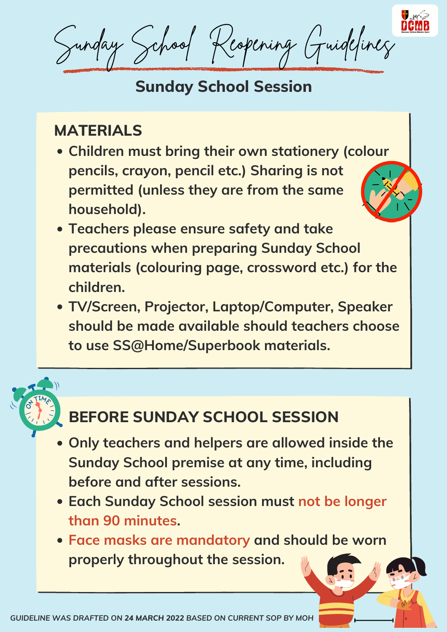- **Children must bring their own stationery (colour pencils, crayon, pencil etc.) Sharing is not permitted (unless they are from the same household).**
- **Teachers please ensure safety and take precautions when preparing Sunday School materials (colouring page, crossword etc.) for the children.**
- **TV/Screen, Projector, Laptop/Computer, Speaker should be made available should teachers choose**

#### **to use SS@Home/Superbook materials.**

- **Only teachers and helpers are allowed inside the Sunday School premise at any time, including before and after sessions.**
- **Each Sunday School session must not be longer than 90 minutes.**
- **Face masks are mandatory and should be worn properly throughout the session.**

# **Sunday School Session**

Sunday School Reopening Guidelines

#### **MATERIALS**

# **BEFORE SUNDAY SCHOOL SESSION**